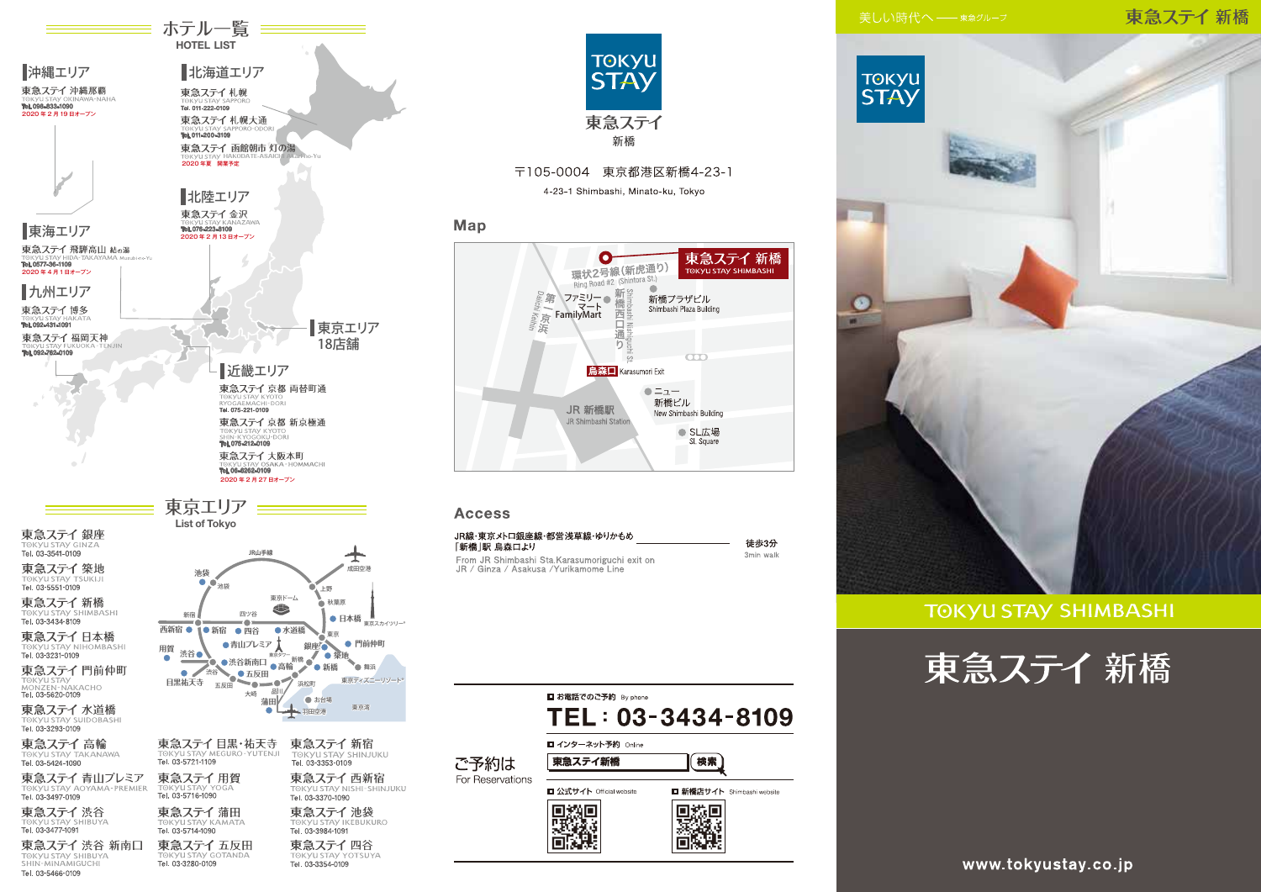# 東急ステイ新橋



**TOKYU STAY SHIMBASHI** 





**≡ ホテル一覧 ====** 

**GKVILSTAV IKERLIKLIRO** Tel. 03-3984-1091 東急ステイ五反田 東急ステイ四谷 TOKYU STAY YOTSUYA

Tel. 03-5714-1090

Tel. 03-3280-0109

a ד⇒ 1,000 cm<br>1091–3477 Tel. 03

Tel. 03-5466-0109

東急ステイ 渋谷 新南口

TOKYU STAY SHIBUYA



〒105-0004 東京都港区新橋4-23-1

4-23-1 Shimbashi, Minato-ku, Tokyo

# Map



### **Access**

| JR線・東京メトロ銀座線・都営浅草線・ゆりかもめ<br>「新橋」駅 鳥森ロより                                                  | 徒歩3分      |
|------------------------------------------------------------------------------------------|-----------|
| From JR Shimbashi Sta. Karasumoriguchi exit on<br>JR / Ginza / Asakusa / Yurikamome Line | 3min walk |

|                  | ■ お電話でのご予約 By phone           | TEL: 03-3434-8109          |
|------------------|-------------------------------|----------------------------|
| ご予約は             | ■ インターネット予約 Online<br>東急ステイ新橋 | 検索                         |
| For Reservations | □ 公式サイト Official website      | □ 新橋店サイト Shimbashi website |
|                  |                               |                            |

www.tokyustay.co.jp